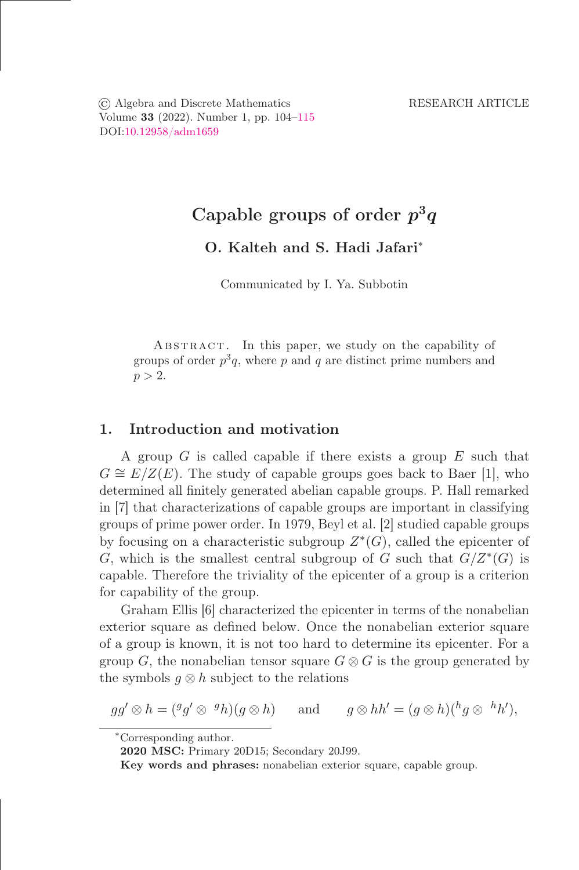© Algebra and Discrete Mathematics RESEARCH ARTICLE Volume 33 (2022). Number 1, pp. 104–115 DOI[:10.12958/adm1659](https://doi.org/10.12958/adm1659)

# Capable groups of order  $p^3q$

## O. Kalteh and S. Hadi Jafari<sup>∗</sup>

Communicated by I. Ya. Subbotin

ABSTRACT. In this paper, we study on the capability of groups of order  $p^3q$ , where p and q are distinct prime numbers and  $p > 2$ .

## 1. Introduction and motivation

A group  $G$  is called capable if there exists a group  $E$  such that  $G \cong E/Z(E)$ . The study of capable groups goes back to Baer [1], who determined all őnitely generated abelian capable groups. P. Hall remarked in [7] that characterizations of capable groups are important in classifying groups of prime power order. In 1979, Beyl et al. [2] studied capable groups by focusing on a characteristic subgroup  $Z^*(G)$ , called the epicenter of G, which is the smallest central subgroup of G such that  $G/Z^*(G)$  is capable. Therefore the triviality of the epicenter of a group is a criterion for capability of the group.

Graham Ellis [6] characterized the epicenter in terms of the nonabelian exterior square as deőned below. Once the nonabelian exterior square of a group is known, it is not too hard to determine its epicenter. For a group G, the nonabelian tensor square  $G \otimes G$  is the group generated by the symbols  $q \otimes h$  subject to the relations

 $gg' \otimes h = ({}^gg' \otimes {}^{gh})(g \otimes h)$  and  $g \otimes hh' = (g \otimes h)({}^hg \otimes {}^{h}h'),$ 

<sup>∗</sup>Corresponding author.

2020 MSC: Primary 20D15; Secondary 20J99.

Key words and phrases: nonabelian exterior square, capable group.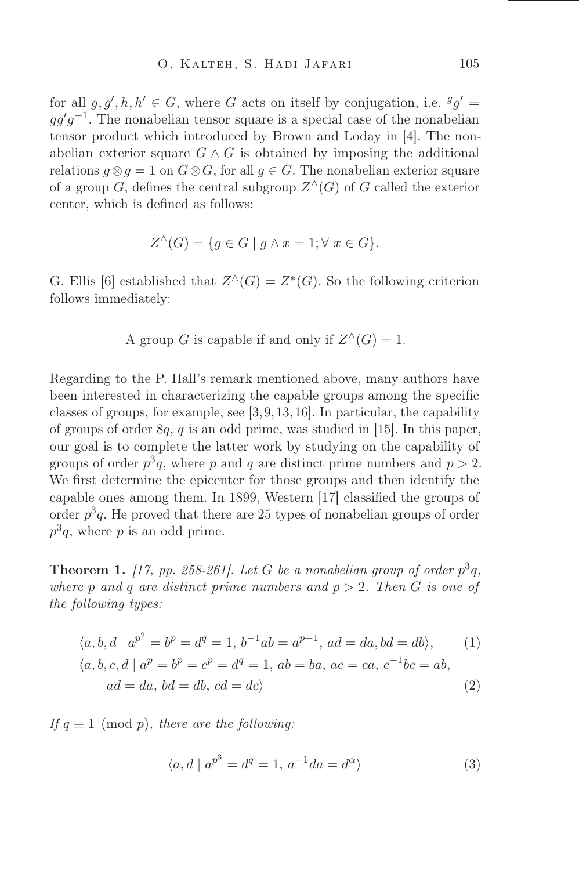for all  $g, g', h, h' \in G$ , where G acts on itself by conjugation, i.e.  ${}^g g' =$  $gg'g^{-1}$ . The nonabelian tensor square is a special case of the nonabelian tensor product which introduced by Brown and Loday in [4]. The nonabelian exterior square  $G \wedge G$  is obtained by imposing the additional relations  $g \otimes g = 1$  on  $G \otimes G$ , for all  $g \in G$ . The nonabelian exterior square of a group  $G$ , defines the central subgroup  $Z^{\wedge}(G)$  of G called the exterior center, which is deőned as follows:

$$
Z^{\wedge}(G) = \{ g \in G \mid g \wedge x = 1; \forall x \in G \}.
$$

G. Ellis [6] established that  $Z^{\wedge}(G) = Z^*(G)$ . So the following criterion follows immediately:

A group G is capable if and only if  $Z^{\wedge}(G) = 1$ .

Regarding to the P. Hall's remark mentioned above, many authors have been interested in characterizing the capable groups among the specific classes of groups, for example, see [3,9,13,16]. In particular, the capability of groups of order  $8q$ , q is an odd prime, was studied in [15]. In this paper, our goal is to complete the latter work by studying on the capability of groups of order  $p^3q$ , where p and q are distinct prime numbers and  $p > 2$ . We first determine the epicenter for those groups and then identify the capable ones among them. In 1899, Western [17] classified the groups of order  $p^3q$ . He proved that there are 25 types of nonabelian groups of order  $p^3q$ , where p is an odd prime.

<span id="page-1-0"></span>**Theorem 1.** [17, pp. 258-261]. Let G be a nonabelian group of order  $p^3q$ , where p and q are distinct prime numbers and  $p > 2$ . Then G is one of the following types:

$$
\langle a, b, d \mid a^{p^2} = b^p = d^q = 1, b^{-1}ab = a^{p+1}, ad = da, bd = db \rangle,
$$
  
\n
$$
\langle a, b, c, d \mid a^p = b^p = c^p = d^q = 1, ab = ba, ac = ca, c^{-1}bc = ab,
$$
  
\n
$$
ad = da, bd = db, cd = dc \rangle
$$
  
\n(2)

If  $q \equiv 1 \pmod{p}$ , there are the following:

$$
\langle a, d \mid a^{p^3} = d^q = 1, a^{-1}da = d^{\alpha} \rangle \tag{3}
$$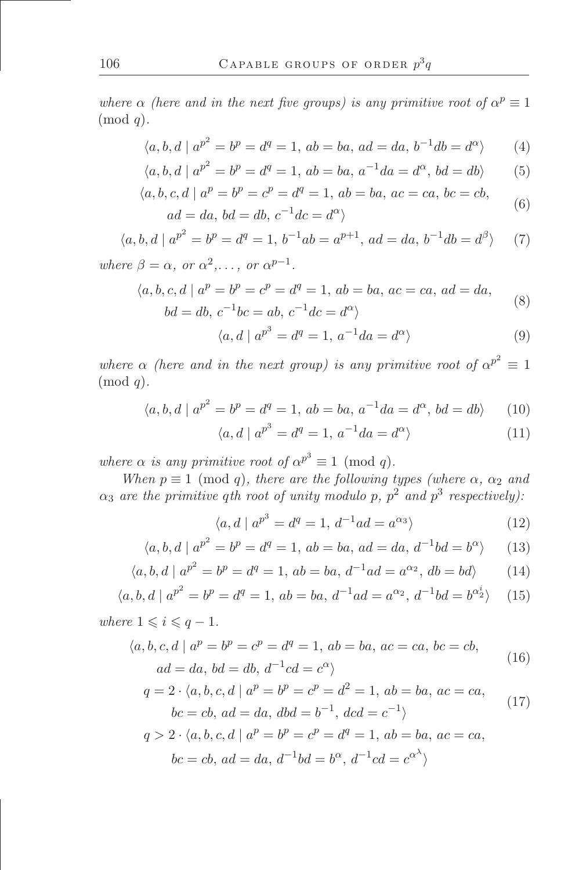where  $\alpha$  (here and in the next five groups) is any primitive root of  $\alpha^p \equiv 1$  $\pmod{q}$ .

$$
\langle a, b, d \mid a^{p^2} = b^p = d^q = 1, ab = ba, ad = da, b^{-1}db = d^{\alpha} \rangle \tag{4}
$$

$$
\langle a, b, d \mid a^{p^2} = b^p = d^q = 1, ab = ba, a^{-1}da = d^{\alpha}, bd = db \rangle
$$
 (5)

$$
\langle a, b, c, d \mid a^p = b^p = c^p = d^q = 1, ab = ba, ac = ca, bc = cb,
$$
  

$$
ad = da, bd = db, c^{-1}dc = d^{\alpha} \rangle
$$
 (6)

$$
\langle a, b, d \mid a^{p^2} = b^p = d^q = 1, b^{-1}ab = a^{p+1}, ad = da, b^{-1}db = d^{\beta} \rangle \tag{7}
$$

where 
$$
\beta = \alpha
$$
, or  $\alpha^2, \ldots$ , or  $\alpha^{p-1}$ .

$$
\langle a, b, c, d \mid a^p = b^p = c^p = d^q = 1, ab = ba, ac = ca, ad = da,
$$
  
\n $bd = db, c^{-1}bc = ab, c^{-1}dc = d^{\alpha}$  (8)

$$
\langle a, d \mid a^{p^3} = d^q = 1, a^{-1}da = d^{\alpha} \rangle \tag{9}
$$

where  $\alpha$  (here and in the next group) is any primitive root of  $\alpha^{p^2} \equiv 1$  $\pmod{q}$ .

$$
\langle a, b, d \mid a^{p^2} = b^p = d^q = 1, ab = ba, a^{-1}da = d^{\alpha}, bd = db \rangle \qquad (10)
$$

$$
\langle a, d \mid a^{p^3} = d^q = 1, a^{-1}da = d^{\alpha} \rangle \tag{11}
$$

where  $\alpha$  is any primitive root of  $\alpha^{p^3} \equiv 1 \pmod{q}$ .

When  $p \equiv 1 \pmod{q}$ , there are the following types (where  $\alpha$ ,  $\alpha_2$  and  $\alpha_3$  are the primitive qth root of unity modulo p,  $p^2$  and  $p^3$  respectively).

$$
\langle a, d \mid a^{p^3} = d^q = 1, d^{-1}ad = a^{\alpha_3} \rangle \tag{12}
$$

$$
\langle a, b, d \mid a^{p^2} = b^p = d^q = 1, ab = ba, ad = da, d^{-1}bd = b^{\alpha} \rangle \qquad (13)
$$

$$
\langle a, b, d \mid a^{p^2} = b^p = d^q = 1, ab = ba, d^{-1}ad = a^{\alpha_2}, db = bd \rangle \tag{14}
$$

$$
\langle a, b, d \mid a^{p^2} = b^p = d^q = 1, ab = ba, d^{-1}ad = a^{\alpha_2}, d^{-1}bd = b^{\alpha_2^i} \rangle \tag{15}
$$

where 
$$
1 \leq i \leq q-1
$$
.

$$
\langle a, b, c, d \mid a^p = b^p = c^p = d^q = 1, ab = ba, ac = ca, bc = cb,
$$
  

$$
ad = da, bd = db, d^{-1}cd = c^{\alpha} \rangle
$$
 (16)

$$
q = 2 \cdot \langle a, b, c, d \mid a^p = b^p = c^p = d^2 = 1, ab = ba, ac = ca,
$$
  

$$
bc = cb, ad = da, dbd = b^{-1}, dcd = c^{-1}\rangle
$$
 (17)

$$
q > 2 \cdot \langle a, b, c, d \mid a^p = b^p = c^p = d^q = 1, ab = ba, ac = ca,
$$
  

$$
bc = cb, ad = da, d^{-1}bd = b^{\alpha}, d^{-1}cd = c^{\alpha^{\lambda}}\rangle
$$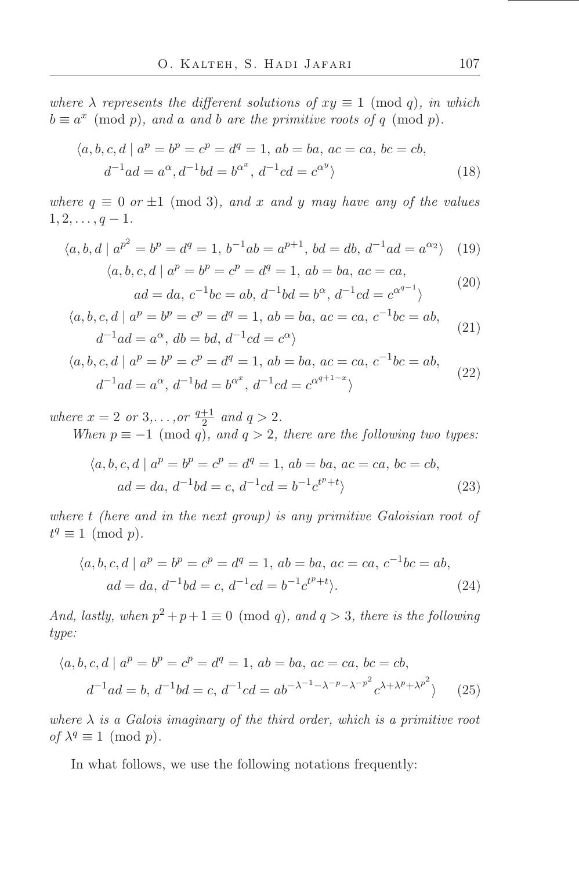where  $\lambda$  represents the different solutions of  $xy \equiv 1 \pmod{q}$ , in which  $b \equiv a^x \pmod{p}$ , and a and b are the primitive roots of q (mod p).

$$
\langle a, b, c, d \mid a^p = b^p = c^p = d^q = 1, ab = ba, ac = ca, bc = cb,d^{-1}ad = a^{\alpha}, d^{-1}bd = b^{\alpha^x}, d^{-1}cd = c^{\alpha^y} \rangle
$$
\n(18)

where  $q \equiv 0$  or  $\pm 1 \pmod{3}$ , and x and y may have any of the values  $1, 2, \ldots, q-1.$ 

$$
\langle a, b, d \mid a^{p^2} = b^p = d^q = 1, b^{-1}ab = a^{p+1}, bd = db, d^{-1}ad = a^{\alpha_2} \rangle \tag{19}
$$

$$
\langle a, b, c, d \mid a^p = b^p = c^p = d^q = 1, ab = ba, ac = ca,
$$
  

$$
ad = da, c^{-1}bc = ab, d^{-1}bd = b^{\alpha}, d^{-1}cd = c^{\alpha^{q-1}} \rangle
$$
 (20)

$$
\langle a, b, c, d \mid a^p = b^p = c^p = d^q = 1, ab = ba, ac = ca, c^{-1}bc = ab,
$$
  

$$
d^{-1}ad = a^{\alpha}, db = bd, d^{-1}cd = c^{\alpha}
$$
 (21)

$$
\langle a, b, c, d \mid a^p = b^p = c^p = d^q = 1, ab = ba, ac = ca, c^{-1}bc = ab,d^{-1}ad = a^{\alpha}, d^{-1}bd = b^{\alpha^x}, d^{-1}cd = c^{\alpha^{q+1-x}}\rangle
$$
\n(22)

where  $x = 2$  or  $3, \ldots$ , or  $\frac{q+1}{2}$  $rac{+1}{2}$  and  $q > 2$ . When  $p \equiv -1 \pmod{q}$ , and  $q > 2$ , there are the following two types:

$$
\langle a, b, c, d \mid a^p = b^p = c^p = d^q = 1, ab = ba, ac = ca, bc = cb,
$$
  

$$
ad = da, d^{-1}bd = c, d^{-1}cd = b^{-1}c^{t^p+t} \rangle
$$
 (23)

where t (here and in the next group) is any primitive Galoisian root of  $t^q \equiv 1 \pmod{p}.$ 

$$
\langle a, b, c, d \mid a^p = b^p = c^p = d^q = 1, ab = ba, ac = ca, c^{-1}bc = ab,
$$
  

$$
ad = da, d^{-1}bd = c, d^{-1}cd = b^{-1}c^{t^p+t}\rangle.
$$
 (24)

And, lastly, when  $p^2 + p + 1 \equiv 0 \pmod{q}$ , and  $q > 3$ , there is the following type:

$$
\langle a, b, c, d \mid a^p = b^p = c^p = d^q = 1, ab = ba, ac = ca, bc = cb,
$$
  

$$
d^{-1}ad = b, d^{-1}bd = c, d^{-1}cd = ab^{-\lambda^{-1}-\lambda^{-p}-\lambda^{-p^2}}c^{\lambda+\lambda^p+\lambda^{p^2}} \rangle
$$
 (25)

where  $\lambda$  is a Galois imaginary of the third order, which is a primitive root of  $\lambda^q \equiv 1 \pmod{p}$ .

In what follows, we use the following notations frequently: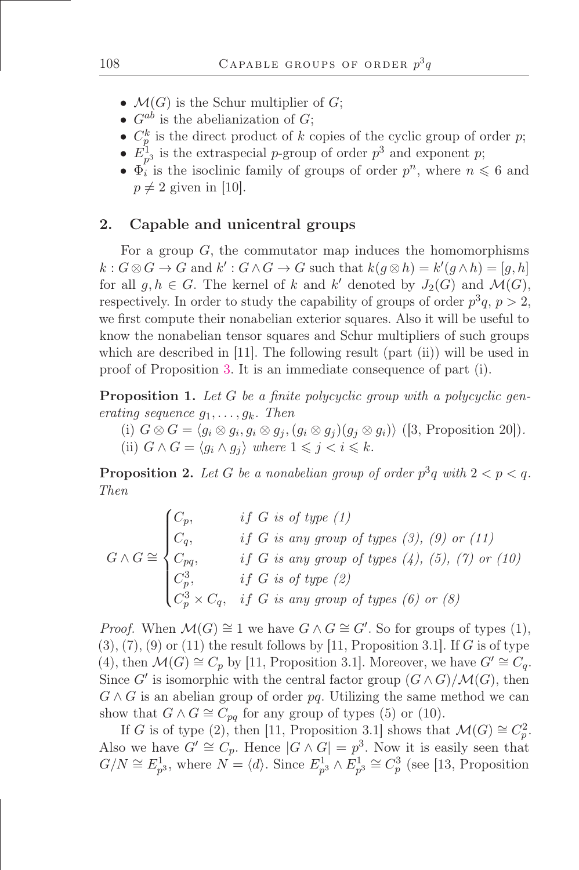- $\mathcal{M}(G)$  is the Schur multiplier of  $G$ ;
- $G^{ab}$  is the abelianization of  $G$ ;
- $C_p^k$  is the direct product of k copies of the cyclic group of order p;
- $E_{p^3}^1$  is the extraspecial p-group of order  $p^3$  and exponent p;
- $\Phi_i^P$  is the isoclinic family of groups of order  $p^n$ , where  $n \leq 6$  and  $p \neq 2$  given in [10].

#### 2. Capable and unicentral groups

For a group  $G$ , the commutator map induces the homomorphisms  $k: G \otimes G \to G$  and  $k': G \wedge G \to G$  such that  $k(g \otimes h) = k'(g \wedge h) = [g, h]$ for all  $g, h \in G$ . The kernel of k and k' denoted by  $J_2(G)$  and  $\mathcal{M}(G)$ , respectively. In order to study the capability of groups of order  $p^3q$ ,  $p>2$ , we first compute their nonabelian exterior squares. Also it will be useful to know the nonabelian tensor squares and Schur multipliers of such groups which are described in [11]. The following result (part (ii)) will be used in proof of Proposition [3.](#page-5-0) It is an immediate consequence of part (i).

<span id="page-4-0"></span>**Proposition 1.** Let  $G$  be a finite polycyclic group with a polycyclic generating sequence  $q_1, \ldots, q_k$ . Then

(i)  $G \otimes G = \langle g_i \otimes g_j, g_i \otimes g_j, (g_i \otimes g_j)(g_j \otimes g_i) \rangle$  ([3, Proposition 20]). (ii)  $G \wedge G = \langle g_i \wedge g_j \rangle$  where  $1 \leq j < i \leq k$ .

<span id="page-4-1"></span>**Proposition 2.** Let G be a nonabelian group of order  $p^3q$  with  $2 < p < q$ . Then

$$
G \wedge G \cong \begin{cases} C_p, & \text{if } G \text{ is of type } (1) \\ C_q, & \text{if } G \text{ is any group of types } (3), (9) \text{ or } (11) \\ C_{pq}, & \text{if } G \text{ is any group of types } (4), (5), (7) \text{ or } (10) \\ C_p^3, & \text{if } G \text{ is of type } (2) \\ C_p^3 \times C_q, & \text{if } G \text{ is any group of types } (6) \text{ or } (8) \end{cases}
$$

*Proof.* When  $\mathcal{M}(G) \cong 1$  we have  $G \wedge G \cong G'$ . So for groups of types (1),  $(3), (7), (9)$  or  $(11)$  the result follows by [11, Proposition 3.1]. If G is of type (4), then  $\mathcal{M}(G) \cong C_p$  by [11, Proposition 3.1]. Moreover, we have  $G' \cong C_q$ . Since G' is isomorphic with the central factor group  $(G \wedge G)/\mathcal{M}(G)$ , then  $G \wedge G$  is an abelian group of order pq. Utilizing the same method we can show that  $G \wedge G \cong C_{pq}$  for any group of types (5) or (10).

If G is of type (2), then [11, Proposition 3.1] shows that  $\mathcal{M}(G) \cong C_p^2$ . Also we have  $G' \cong C_p$ . Hence  $|G \wedge G| = p^3$ . Now it is easily seen that  $G/N \cong E_{p^3}^1$ , where  $N = \langle d \rangle$ . Since  $E_{p^3}^1 \wedge E_{p^3}^1 \cong C_p^3$  (see [13, Proposition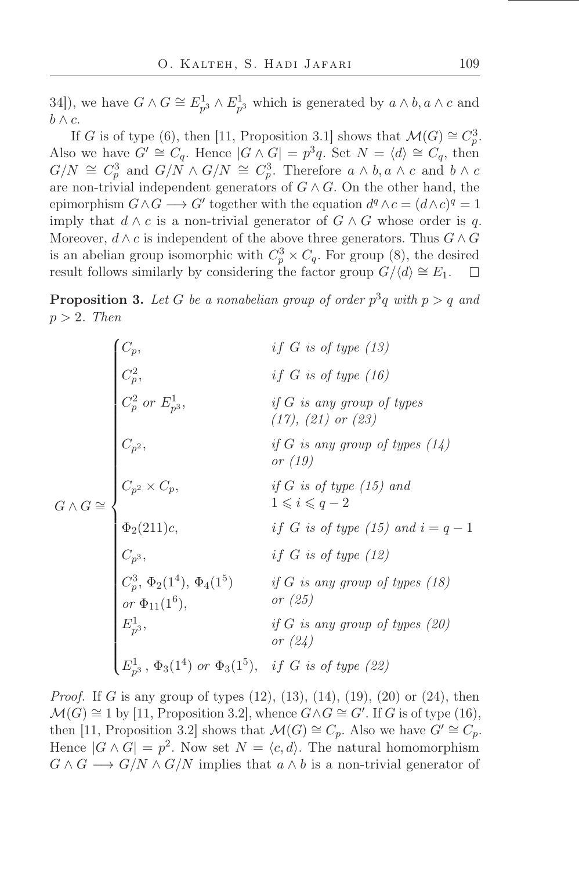34]), we have  $G \wedge G \cong E_{p^3}^1 \wedge E_{p^3}^1$  which is generated by  $a \wedge b, a \wedge c$  and  $b \wedge c$ .

If G is of type (6), then [11, Proposition 3.1] shows that  $\mathcal{M}(G) \cong C_p^3$ . Also we have  $G' \cong C_q$ . Hence  $|G \wedge G| = p^3 q$ . Set  $N = \langle d \rangle \cong C_q$ , then  $G/N \cong C_p^3$  and  $G/N \wedge G/N \cong C_p^3$ . Therefore  $a \wedge b, a \wedge c$  and  $b \wedge c$ are non-trivial independent generators of  $G \wedge G$ . On the other hand, the epimorphism  $G \wedge G \longrightarrow G'$  together with the equation  $d^q \wedge c = (d \wedge c)^q = 1$ imply that  $d \wedge c$  is a non-trivial generator of  $G \wedge G$  whose order is q. Moreover,  $d \wedge c$  is independent of the above three generators. Thus  $G \wedge G$ is an abelian group isomorphic with  $C_p^3 \times C_q$ . For group (8), the desired result follows similarly by considering the factor group  $G/\langle d \rangle \cong E_1$ .

<span id="page-5-0"></span>**Proposition 3.** Let G be a nonabelian group of order  $p^3q$  with  $p > q$  and  $p > 2$ . Then

$$
G \wedge G \cong \begin{cases} C_p, & \text{if } G \text{ is of type (13)} \\ C_p^2, & \text{if } G \text{ is only group of types} \\ C_p^2 \text{ or } E_{p^3}^1, & \text{if } G \text{ is any group of types} \\ (17), (21) \text{ or } (23) \end{cases} \\ G \wedge G \cong \begin{cases} C_{p^2}, & \text{if } G \text{ is any group of types (14)} \\ C_{p^2}, & \text{if } G \text{ is only group of types (14)} \\ C_p^2 \times C_p, & \text{if } G \text{ is of type (15) and} \\ 1 \leqslant i \leqslant q - 2 \end{cases} \\ \Phi_2(211)c, & \text{if } G \text{ is of type (15) and } i = q - 1 \\ C_{p^3}, & \text{if } G \text{ is of type (12)} \\ C_p^3, \Phi_2(1^4), \Phi_4(1^5) & \text{if } G \text{ is any group of types (18)} \\ \text{or } \Phi_{11}(1^6), & \text{or } (25) \\ E_{p^3}^1, \Phi_3(1^4) \text{ or } \Phi_3(1^5), & \text{if } G \text{ is of type (22)} \end{cases}
$$

*Proof.* If G is any group of types  $(12)$ ,  $(13)$ ,  $(14)$ ,  $(19)$ ,  $(20)$  or  $(24)$ , then  $\mathcal{M}(G) \cong 1$  by [11, Proposition 3.2], whence  $G \wedge G \cong G'$ . If G is of type (16), then [11, Proposition 3.2] shows that  $\mathcal{M}(G) \cong C_p$ . Also we have  $G' \cong C_p$ . Hence  $|G \wedge G| = p^2$ . Now set  $N = \langle c, d \rangle$ . The natural homomorphism  $G \wedge G \longrightarrow G/N \wedge G/N$  implies that  $a \wedge b$  is a non-trivial generator of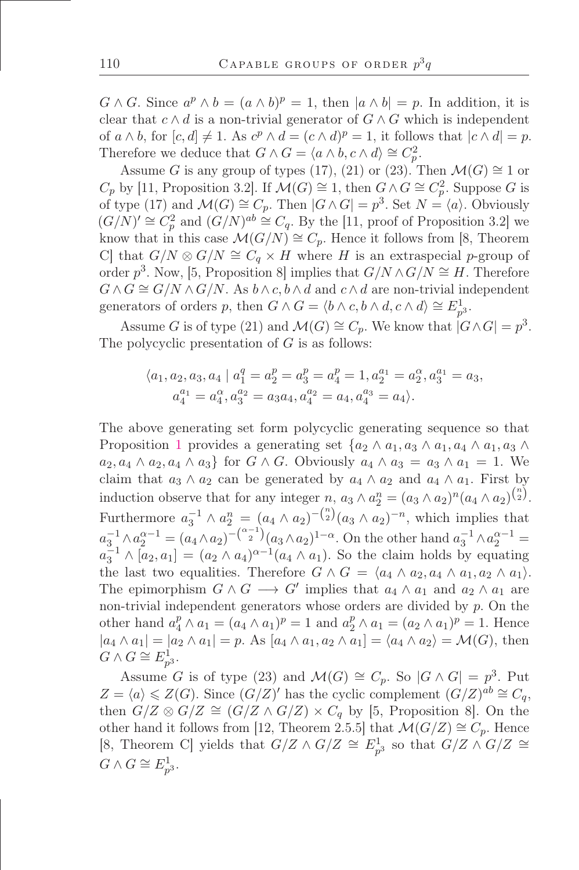$G \wedge G$ . Since  $a^p \wedge b = (a \wedge b)^p = 1$ , then  $|a \wedge b| = p$ . In addition, it is clear that  $c \wedge d$  is a non-trivial generator of  $G \wedge G$  which is independent of  $a \wedge b$ , for  $[c, d] \neq 1$ . As  $c^p \wedge d = (c \wedge d)^p = 1$ , it follows that  $|c \wedge d| = p$ . Therefore we deduce that  $G \wedge G = \langle a \wedge b, c \wedge d \rangle \cong C_p^2$ .

Assume G is any group of types (17), (21) or (23). Then  $\mathcal{M}(G) \cong 1$  or  $C_p$  by [11, Proposition 3.2]. If  $\mathcal{M}(G) \cong 1$ , then  $G \wedge G \cong C_p^2$ . Suppose G is of type (17) and  $\mathcal{M}(G) \cong C_p$ . Then  $|G \wedge G| = p^3$ . Set  $N = \langle a \rangle$ . Obviously  $(G/N)' \cong C_p^2$  and  $(G/N)^{ab} \cong C_q$ . By the [11, proof of Proposition 3.2] we know that in this case  $\mathcal{M}(G/N) \cong C_p$ . Hence it follows from [8, Theorem C] that  $G/N \otimes G/N \cong C_q \times H$  where H is an extraspecial p-group of order  $p^3$ . Now, [5, Proposition 8] implies that  $G/N \wedge G/N \cong H$ . Therefore  $G \wedge G \cong G/N \wedge G/N$ . As  $b \wedge c, b \wedge d$  and  $c \wedge d$  are non-trivial independent generators of orders p, then  $G \wedge G = \langle b \wedge c, b \wedge d, c \wedge d \rangle \cong E_{p^3}^1$ .

Assume G is of type (21) and  $\mathcal{M}(G) \cong C_p$ . We know that  $|G \wedge G| = p^3$ . The polycyclic presentation of  $G$  is as follows:

$$
\langle a_1, a_2, a_3, a_4 \mid a_1^q = a_2^p = a_3^p = a_4^p = 1, a_2^{a_1} = a_2^{\alpha}, a_3^{a_1} = a_3,
$$
  

$$
a_4^{a_1} = a_4^{\alpha}, a_3^{a_2} = a_3 a_4, a_4^{a_2} = a_4, a_4^{a_3} = a_4 \rangle.
$$

The above generating set form polycyclic generating sequence so that Proposition [1](#page-4-0) provides a generating set  $\{a_2 \wedge a_1, a_3 \wedge a_1, a_4 \wedge a_1, a_3 \wedge a_2\}$  $a_2, a_4 \wedge a_2, a_4 \wedge a_3$  for  $G \wedge G$ . Obviously  $a_4 \wedge a_3 = a_3 \wedge a_1 = 1$ . We claim that  $a_3 \wedge a_2$  can be generated by  $a_4 \wedge a_2$  and  $a_4 \wedge a_1$ . First by induction observe that for any integer  $n, a_3 \wedge a_2^n = (a_3 \wedge a_2)^n (a_4 \wedge a_2)^{\binom{n}{2}}$ . Furthermore  $a_3^{-1} \wedge a_2^{n} = (a_4 \wedge a_2)^{-(n/2)} (a_3 \wedge a_2)^{-n}$ , which implies that  $a_3^{-1} \wedge a_2^{\alpha-1} = (a_4 \wedge a_2)^{-\binom{\alpha-1}{2}} (a_3 \wedge a_2)^{1-\alpha}$ . On the other hand  $a_3^{-1} \wedge a_2^{\alpha-1} =$  $a_3^{-1} \wedge [a_2, a_1] = (a_2 \wedge a_4)^{\alpha-1} (a_4 \wedge a_1)$ . So the claim holds by equating the last two equalities. Therefore  $G \wedge G = \langle a_4 \wedge a_2, a_4 \wedge a_1, a_2 \wedge a_1 \rangle$ . The epimorphism  $G \wedge G \longrightarrow G'$  implies that  $a_4 \wedge a_1$  and  $a_2 \wedge a_1$  are non-trivial independent generators whose orders are divided by  $p$ . On the other hand  $a_4^p \wedge a_1 = (a_4 \wedge a_1)^p = 1$  and  $a_2^p \wedge a_1 = (a_2 \wedge a_1)^p = 1$ . Hence  $|a_4 \wedge a_1| = |a_2 \wedge a_1| = p$ . As  $[a_4 \wedge a_1, a_2 \wedge a_1] = \langle a_4 \wedge a_2 \rangle = \mathcal{M}(G)$ , then  $G \wedge G \cong E_{p^3}^1.$ 

Assume G is of type (23) and  $\mathcal{M}(G) \cong C_p$ . So  $|G \wedge G| = p^3$ . Put  $Z = \langle a \rangle \leqslant Z(G)$ . Since  $(G/Z)'$  has the cyclic complement  $(G/Z)^{ab} \cong C_q$ , then  $G/Z \otimes G/Z \cong (G/Z \wedge G/Z) \times C_q$  by [5, Proposition 8]. On the other hand it follows from [12, Theorem 2.5.5] that  $\mathcal{M}(G/Z) \cong C_p$ . Hence [8, Theorem C] yields that  $G/Z \wedge G/Z \cong E_{p^3}^1$  so that  $G/Z \wedge G/Z \cong$  $G \wedge G \cong E_{p^3}^1.$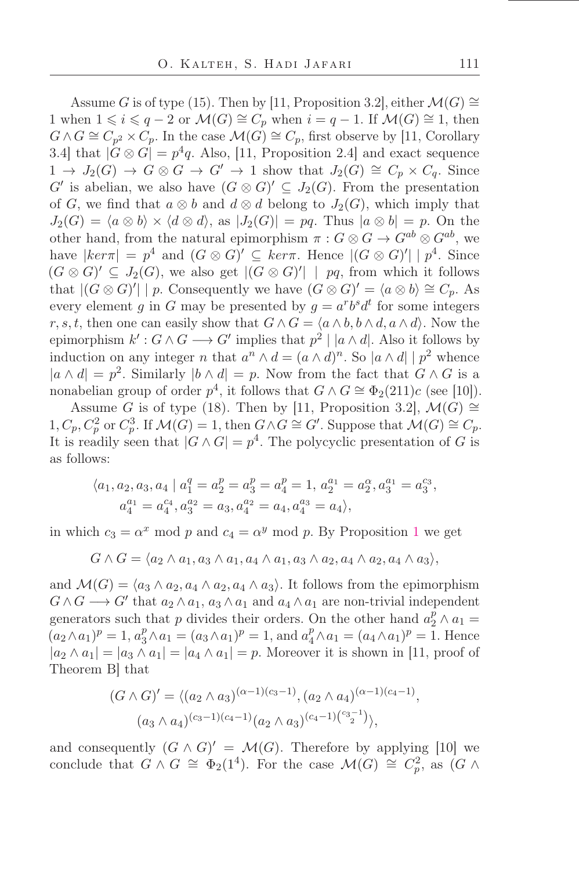Assume G is of type (15). Then by [11, Proposition 3.2], either  $\mathcal{M}(G) \cong$ 1 when  $1 \le i \le q-2$  or  $\mathcal{M}(G) \cong C_p$  when  $i = q-1$ . If  $\mathcal{M}(G) \cong 1$ , then  $G \wedge G \cong C_{p^2} \times C_p$ . In the case  $\mathcal{M}(G) \cong C_p$ , first observe by [11, Corollary 3.4] that  $|G \otimes G| = p^4 q$ . Also, [11, Proposition 2.4] and exact sequence  $1 \to J_2(G) \to G \otimes G \to G' \to 1$  show that  $J_2(G) \cong C_p \times C_q$ . Since  $G'$  is abelian, we also have  $(G \otimes G)' \subseteq J_2(G)$ . From the presentation of G, we find that  $a \otimes b$  and  $d \otimes d$  belong to  $J_2(G)$ , which imply that  $J_2(G) = \langle a \otimes b \rangle \times \langle d \otimes d \rangle$ , as  $|J_2(G)| = pq$ . Thus  $|a \otimes b| = p$ . On the other hand, from the natural epimorphism  $\pi : G \otimes G \to G^{ab} \otimes G^{ab}$ , we have  $|ker \pi| = p^4$  and  $(G \otimes G)' \subseteq ker \pi$ . Hence  $|(G \otimes G)'| | p^4$ . Since  $(G \otimes G)' \subseteq J_2(G)$ , we also get  $|(G \otimes G)'| |$  pq, from which it follows that  $|(G \otimes G)'| \mid p$ . Consequently we have  $(G \otimes G)' = \langle a \otimes b \rangle \cong C_p$ . As every element g in G may be presented by  $g = a^r b^s d^t$  for some integers r, s, t, then one can easily show that  $G \wedge G = \langle a \wedge b, b \wedge d, a \wedge d \rangle$ . Now the epimorphism  $k' : G \wedge G \longrightarrow G'$  implies that  $p^2 \mid |a \wedge d|$ . Also it follows by induction on any integer *n* that  $a^n \wedge d = (a \wedge d)^n$ . So  $|a \wedge d| \mid p^2$  whence  $|a \wedge d| = p^2$ . Similarly  $|b \wedge d| = p$ . Now from the fact that  $G \wedge G$  is a nonabelian group of order  $p^4$ , it follows that  $G \wedge G \cong \Phi_2(211)c$  (see [10]).

Assume G is of type (18). Then by [11, Proposition 3.2],  $\mathcal{M}(G) \cong$  $1, C_p, C_p^2$  or  $C_p^3$ . If  $\mathcal{M}(G) = 1$ , then  $G \wedge G \cong G'$ . Suppose that  $\mathcal{M}(G) \cong C_p$ . It is readily seen that  $|G \wedge G| = p^4$ . The polycyclic presentation of G is as follows:

$$
\langle a_1, a_2, a_3, a_4 \mid a_1^q = a_2^p = a_3^p = a_4^p = 1, a_2^{a_1} = a_2^{\alpha}, a_3^{a_1} = a_3^{c_3},
$$
  

$$
a_4^{a_1} = a_4^{c_4}, a_3^{a_2} = a_3, a_4^{a_2} = a_4, a_4^{a_3} = a_4 \rangle,
$$

in which  $c_3 = \alpha^x \mod p$  and  $c_4 = \alpha^y \mod p$ . By Proposition [1](#page-4-0) we get

$$
G \wedge G = \langle a_2 \wedge a_1, a_3 \wedge a_1, a_4 \wedge a_1, a_3 \wedge a_2, a_4 \wedge a_2, a_4 \wedge a_3 \rangle,
$$

and  $\mathcal{M}(G) = \langle a_3 \wedge a_2, a_4 \wedge a_2, a_4 \wedge a_3 \rangle$ . It follows from the epimorphism  $G \wedge G \longrightarrow G'$  that  $a_2 \wedge a_1$ ,  $a_3 \wedge a_1$  and  $a_4 \wedge a_1$  are non-trivial independent generators such that p divides their orders. On the other hand  $a_2^p \wedge a_1 =$  $(a_2 \wedge a_1)^p = 1, a_3^p \wedge a_1 = (a_3 \wedge a_1)^p = 1$ , and  $a_4^p \wedge a_1 = (a_4 \wedge a_1)^p = 1$ . Hence  $|a_2 \wedge a_1| = |a_3 \wedge a_1| = |a_4 \wedge a_1| = p$ . Moreover it is shown in [11, proof of Theorem B] that

$$
(G \wedge G)' = \langle (a_2 \wedge a_3)^{(\alpha - 1)(c_3 - 1)}, (a_2 \wedge a_4)^{(\alpha - 1)(c_4 - 1)},
$$
  

$$
(a_3 \wedge a_4)^{(c_3 - 1)(c_4 - 1)} (a_2 \wedge a_3)^{(c_4 - 1)(c_3 - 1)} \rangle,
$$

and consequently  $(G \wedge G)' = \mathcal{M}(G)$ . Therefore by applying [10] we conclude that  $G \wedge G \cong \Phi_2(1^4)$ . For the case  $\mathcal{M}(G) \cong C_p^2$ , as  $(G \wedge$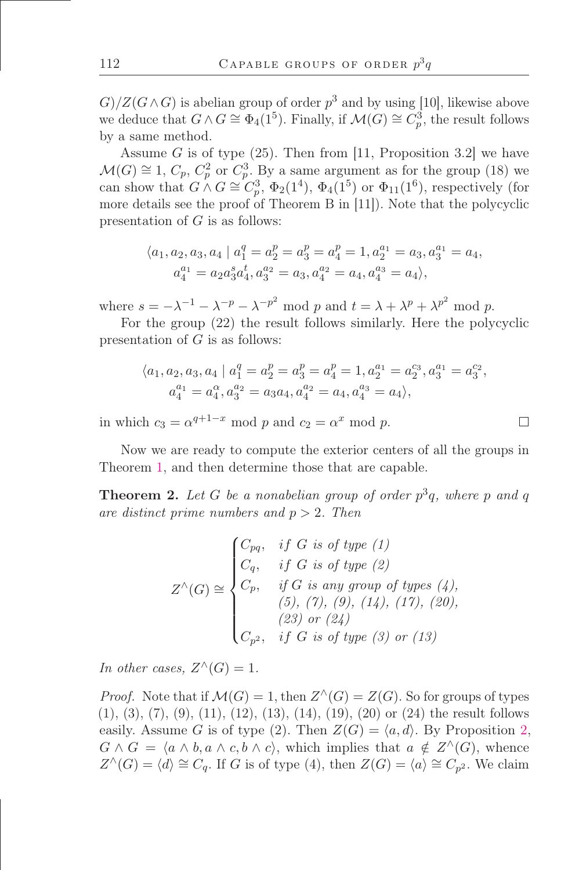$G)/Z(G\wedge G)$  is abelian group of order  $p^3$  and by using [10], likewise above we deduce that  $G \wedge G \cong \Phi_4(1^5)$ . Finally, if  $\mathcal{M}(G) \cong C_p^3$ , the result follows by a same method.

Assume G is of type  $(25)$ . Then from [11, Proposition 3.2] we have  $\mathcal{M}(G) \cong 1, C_p, C_p^2$  or  $C_p^3$ . By a same argument as for the group (18) we can show that  $G \wedge G \cong C_p^3$ ,  $\Phi_2(1^4)$ ,  $\Phi_4(1^5)$  or  $\Phi_{11}(1^6)$ , respectively (for more details see the proof of Theorem B in [11]). Note that the polycyclic presentation of  $G$  is as follows:

$$
\langle a_1, a_2, a_3, a_4 \mid a_1^q = a_2^p = a_3^p = a_4^p = 1, a_2^{a_1} = a_3, a_3^{a_1} = a_4, a_4^{a_1} = a_2 a_3^s a_4^t, a_3^{a_2} = a_3, a_4^{a_2} = a_4, a_4^{a_3} = a_4 \rangle,
$$

where  $s = -\lambda^{-1} - \lambda^{-p} - \lambda^{-p^2}$  mod p and  $t = \lambda + \lambda^p + \lambda^{p^2}$  mod p.

For the group (22) the result follows similarly. Here the polycyclic presentation of  $G$  is as follows:

$$
\langle a_1, a_2, a_3, a_4 \mid a_1^q = a_2^p = a_3^p = a_4^p = 1, a_2^{a_1} = a_2^{c_3}, a_3^{a_1} = a_3^{c_2},
$$
  

$$
a_4^{a_1} = a_4^{\alpha}, a_3^{a_2} = a_3 a_4, a_4^{a_2} = a_4, a_4^{a_3} = a_4 \rangle,
$$

in which  $c_3 = \alpha^{q+1-x} \mod p$  and  $c_2 = \alpha^x \mod p$ .

Now we are ready to compute the exterior centers of all the groups in Theorem [1,](#page-1-0) and then determine those that are capable.

**Theorem 2.** Let G be a nonabelian group of order  $p^3q$ , where p and q are distinct prime numbers and  $p > 2$ . Then

$$
Z^{\wedge}(G) \cong \begin{cases} C_{pq}, & if G \text{ is of type } (1) \\ C_q, & if G \text{ is of type } (2) \\ C_p, & if G \text{ is any group of types } (4), \\ & (5), (7), (9), (14), (17), (20), \\ & (23) \text{ or } (24) \\ C_{p^2}, & if G \text{ is of type } (3) \text{ or } (13) \end{cases}
$$

In other cases,  $Z^{\wedge}(G) = 1$ .

*Proof.* Note that if  $\mathcal{M}(G) = 1$ , then  $Z^{\wedge}(G) = Z(G)$ . So for groups of types (1), (3), (7), (9), (11), (12), (13), (14), (19), (20) or (24) the result follows easily. Assume G is of type (2). Then  $Z(G) = \langle a, d \rangle$ . By Proposition [2,](#page-4-1)  $G \wedge G = \langle a \wedge b, a \wedge c, b \wedge c \rangle$ , which implies that  $a \notin Z^{\wedge}(G)$ , whence  $Z^{\wedge}(G) = \langle d \rangle \cong C_q$ . If G is of type (4), then  $Z(G) = \langle a \rangle \cong C_{p^2}$ . We claim

 $\Box$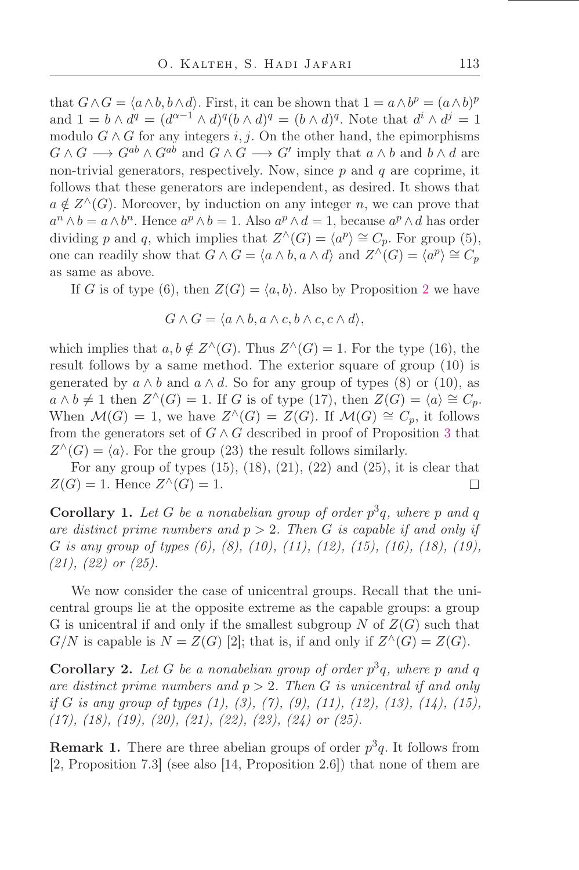that  $G \wedge G = \langle a \wedge b, b \wedge d \rangle$ . First, it can be shown that  $1 = a \wedge b^p = (a \wedge b)^p$ and  $1 = b \wedge d^q = (d^{\alpha-1} \wedge d)^q (b \wedge d)^q = (b \wedge d)^q$ . Note that  $d^i \wedge d^j = 1$ modulo  $G \wedge G$  for any integers i, j. On the other hand, the epimorphisms  $G \wedge G \longrightarrow G^{ab} \wedge G^{ab}$  and  $G \wedge G \longrightarrow G'$  imply that  $a \wedge b$  and  $b \wedge d$  are non-trivial generators, respectively. Now, since  $p$  and  $q$  are coprime, it follows that these generators are independent, as desired. It shows that  $a \notin Z^{\wedge}(G)$ . Moreover, by induction on any integer n, we can prove that  $a^n \wedge b = a \wedge b^n$ . Hence  $a^p \wedge b = 1$ . Also  $a^p \wedge d = 1$ , because  $a^p \wedge d$  has order dividing p and q, which implies that  $Z^{\wedge}(G) = \langle a^p \rangle \cong C_p$ . For group (5), one can readily show that  $G \wedge G = \langle a \wedge b, a \wedge d \rangle$  and  $Z \wedge (G) = \langle a^p \rangle \cong C_p$ as same as above.

If G is of type (6), then  $Z(G) = \langle a, b \rangle$ . Also by Proposition [2](#page-4-1) we have

$$
G \wedge G = \langle a \wedge b, a \wedge c, b \wedge c, c \wedge d \rangle,
$$

which implies that  $a, b \notin Z^{\wedge}(G)$ . Thus  $Z^{\wedge}(G) = 1$ . For the type (16), the result follows by a same method. The exterior square of group (10) is generated by  $a \wedge b$  and  $a \wedge d$ . So for any group of types (8) or (10), as  $a \wedge b \neq 1$  then  $Z^{\wedge}(G) = 1$ . If G is of type (17), then  $Z(G) = \langle a \rangle \cong C_p$ . When  $\mathcal{M}(G) = 1$ , we have  $Z^{\wedge}(G) = Z(G)$ . If  $\mathcal{M}(G) \cong C_p$ , it follows from the generators set of  $G \wedge G$  described in proof of Proposition [3](#page-5-0) that  $Z^{\wedge}(G) = \langle a \rangle$ . For the group (23) the result follows similarly.

For any group of types  $(15)$ ,  $(18)$ ,  $(21)$ ,  $(22)$  and  $(25)$ , it is clear that  $Z(G) = 1$ . Hence  $Z^{\wedge}(G) = 1$ .  $\Box$ 

**Corollary 1.** Let G be a nonabelian group of order  $p^3q$ , where p and q are distinct prime numbers and  $p > 2$ . Then G is capable if and only if G is any group of types (6), (8), (10), (11), (12), (15), (16), (18), (19),  $(21), (22)$  or  $(25).$ 

We now consider the case of unicentral groups. Recall that the unicentral groups lie at the opposite extreme as the capable groups: a group G is unicentral if and only if the smallest subgroup N of  $Z(G)$  such that  $G/N$  is capable is  $N = Z(G)$  [2]; that is, if and only if  $Z^{\wedge}(G) = Z(G)$ .

**Corollary 2.** Let G be a nonabelian group of order  $p^3q$ , where p and q are distinct prime numbers and  $p > 2$ . Then G is unicentral if and only if G is any group of types  $(1)$ ,  $(3)$ ,  $(7)$ ,  $(9)$ ,  $(11)$ ,  $(12)$ ,  $(13)$ ,  $(14)$ ,  $(15)$ ,  $(17), (18), (19), (20), (21), (22), (23), (24)$  or  $(25)$ .

**Remark 1.** There are three abelian groups of order  $p^3q$ . It follows from [2, Proposition 7.3] (see also [14, Proposition 2.6]) that none of them are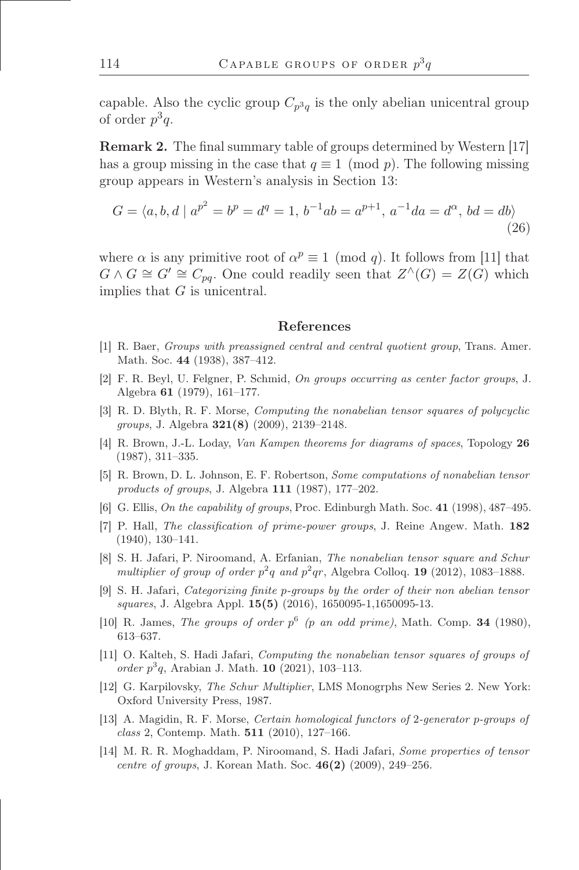capable. Also the cyclic group  $C_{p^3q}$  is the only abelian unicentral group of order  $p^3q$ .

**Remark 2.** The final summary table of groups determined by Western [17] has a group missing in the case that  $q \equiv 1 \pmod{p}$ . The following missing group appears in Western's analysis in Section 13:

$$
G = \langle a, b, d \mid a^{p^2} = b^p = d^q = 1, b^{-1}ab = a^{p+1}, a^{-1}da = d^{\alpha}, bd = db \rangle
$$
\n(26)

where  $\alpha$  is any primitive root of  $\alpha^p \equiv 1 \pmod{q}$ . It follows from [11] that  $G \wedge G \cong G' \cong C_{pq}$ . One could readily seen that  $Z^{\wedge}(G) = Z(G)$  which implies that  $G$  is unicentral.

#### References

- [1] R. Baer, Groups with preassigned central and central quotient group, Trans. Amer. Math. Soc. 44 (1938), 387-412.
- [2] F. R. Beyl, U. Felgner, P. Schmid, On groups occurring as center factor groups, J. Algebra  $61$  (1979), 161-177.
- [3] R. D. Blyth, R. F. Morse, Computing the nonabelian tensor squares of polycyclic groups, J. Algebra  $321(8)$  (2009), 2139–2148.
- [4] R. Brown, J.-L. Loday, Van Kampen theorems for diagrams of spaces, Topology 26  $(1987), 311-335.$
- [5] R. Brown, D. L. Johnson, E. F. Robertson, Some computations of nonabelian tensor products of groups, J. Algebra  $111$  (1987), 177–202.
- [6] G. Ellis, On the capability of groups, Proc. Edinburgh Math. Soc.  $41$  (1998), 487–495.
- [7] P. Hall, The classification of prime-power groups, J. Reine Angew. Math. 182  $(1940), 130-141.$
- [8] S. H. Jafari, P. Niroomand, A. Erfanian, The nonabelian tensor square and Schur multiplier of group of order  $p^2q$  and  $p^2qr$ , Algebra Colloq. 19 (2012), 1083–1888.
- [9] S. H. Jafari, Categorizing finite p-groups by the order of their non abelian tensor squares, J. Algebra Appl. 15(5) (2016), 1650095-1,1650095-13.
- [10] R. James, The groups of order  $p^6$  (p an odd prime), Math. Comp. 34 (1980), 613-637.
- [11] O. Kalteh, S. Hadi Jafari, Computing the nonabelian tensor squares of groups of order  $p^3q$ , Arabian J. Math. 10 (2021), 103-113.
- [12] G. Karpilovsky, The Schur Multiplier, LMS Monogrphs New Series 2. New York: Oxford University Press, 1987.
- [13] A. Magidin, R. F. Morse, Certain homological functors of 2-generator p-groups of class 2, Contemp. Math.  $511$  (2010), 127–166.
- [14] M. R. R. Moghaddam, P. Niroomand, S. Hadi Jafari, Some properties of tensor centre of groups, J. Korean Math. Soc.  $46(2)$  (2009), 249–256.